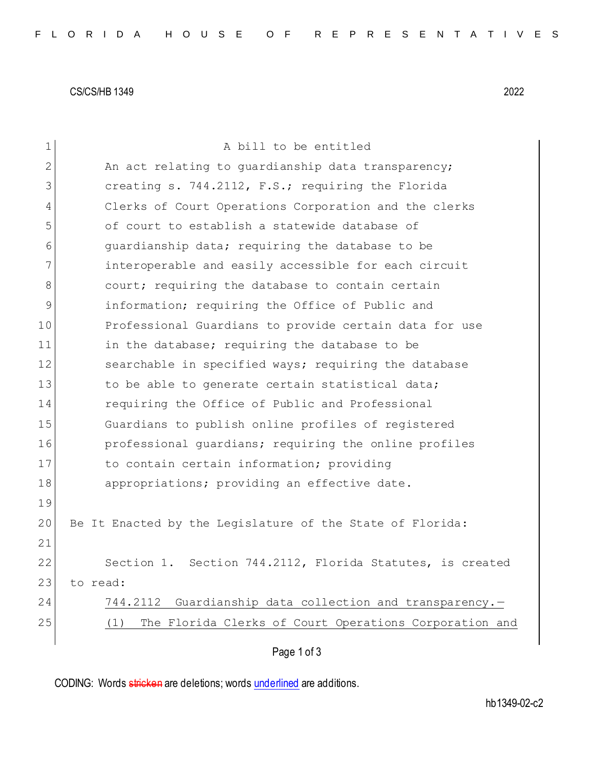CS/CS/HB 1349 2022

| $\mathbf 1$   | A bill to be entitled                                         |
|---------------|---------------------------------------------------------------|
| 2             | An act relating to guardianship data transparency;            |
| 3             | creating s. 744.2112, F.S.; requiring the Florida             |
| 4             | Clerks of Court Operations Corporation and the clerks         |
| 5             | of court to establish a statewide database of                 |
| 6             | quardianship data; requiring the database to be               |
| 7             | interoperable and easily accessible for each circuit          |
| 8             | court; requiring the database to contain certain              |
| $\mathcal{G}$ | information; requiring the Office of Public and               |
| 10            | Professional Guardians to provide certain data for use        |
| 11            | in the database; requiring the database to be                 |
| 12            | searchable in specified ways; requiring the database          |
| 13            | to be able to generate certain statistical data;              |
| 14            | requiring the Office of Public and Professional               |
| 15            | Guardians to publish online profiles of registered            |
| 16            | professional quardians; requiring the online profiles         |
| 17            | to contain certain information; providing                     |
| 18            | appropriations; providing an effective date.                  |
| 19            |                                                               |
| 20            | Be It Enacted by the Legislature of the State of Florida:     |
| 21            |                                                               |
| 22            | Section 744.2112, Florida Statutes, is created<br>Section 1.  |
| 23            | to read:                                                      |
| 24            | Guardianship data collection and transparency.-<br>744.2112   |
| 25            | The Florida Clerks of Court Operations Corporation and<br>(1) |
|               | Page 1 of 3                                                   |

CODING: Words stricken are deletions; words underlined are additions.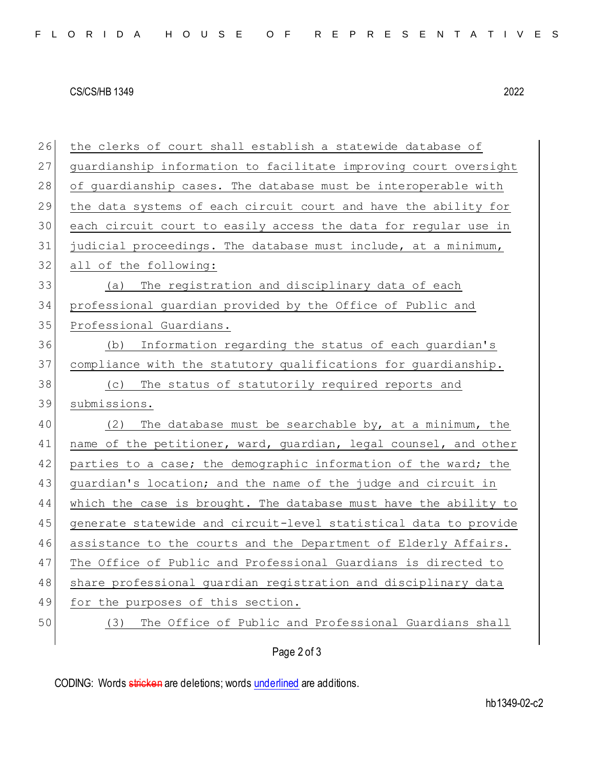## CS/CS/HB 1349 2022

26 the clerks of court shall establish a statewide database of 27 guardianship information to facilitate improving court oversight 28 of guardianship cases. The database must be interoperable with 29 the data systems of each circuit court and have the ability for 30 each circuit court to easily access the data for regular use in 31 judicial proceedings. The database must include, at a minimum, 32 all of the following: 33 (a) The registration and disciplinary data of each 34 professional guardian provided by the Office of Public and 35 Professional Guardians. 36 (b) Information regarding the status of each guardian's 37 compliance with the statutory qualifications for guardianship. 38 (c) The status of statutorily required reports and 39 submissions. 40 (2) The database must be searchable by, at a minimum, the 41 | name of the petitioner, ward, guardian, legal counsel, and other 42 parties to a case; the demographic information of the ward; the 43 guardian's location; and the name of the judge and circuit in 44 which the case is brought. The database must have the ability to 45 generate statewide and circuit-level statistical data to provide 46 assistance to the courts and the Department of Elderly Affairs. 47 The Office of Public and Professional Guardians is directed to 48 share professional quardian registration and disciplinary data 49 for the purposes of this section. 50 (3) The Office of Public and Professional Guardians shall

Page 2 of 3

CODING: Words stricken are deletions; words underlined are additions.